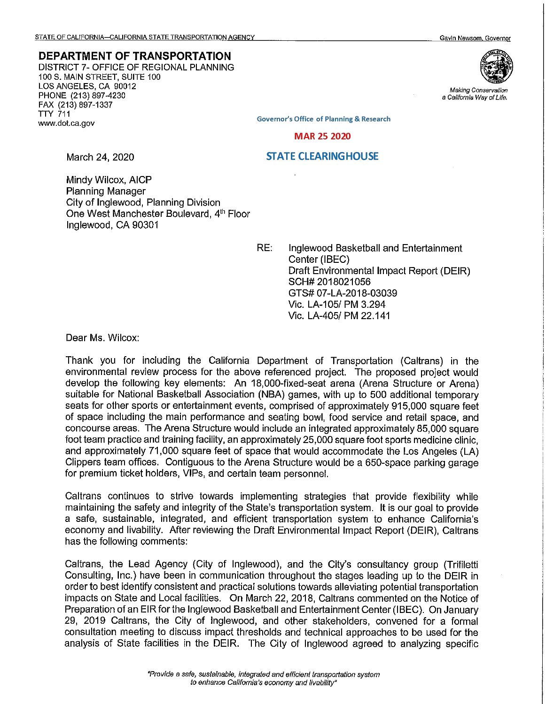## **DEPARTMENT OF TRANSPORTATION**

DISTRICT 7- OFFICE OF REGIONAL PLANNING 100 S. MAIN STREET, SUITE 100 LOS ANGELES, CA 90012 PHONE (213) 897-4230 FAX (213) 897-1337 TTY 711 www.dot.ca.gov



**Making Conservation a Cafifornfa Way of Life.** 

**Governor's Office of Planning & Research** 

**MAR 25 2020** 

## **STATE CLEARINGHOUSE**

March 24, 2020

Mindy Wilcox, AICP Planning Manager City of Inglewood, Planning Division One West Manchester Boulevard, 4th Floor Inglewood, CA 90301

RE: Inglewood Basketball and Entertainment Center (IBEC) Draft Environmental Impact Report (DEIR) SCH# 2018021056 GTS# 07-LA-2018-03039 Vic. LA-105/ PM 3.294 Vic. LA-405/ PM 22.141

Dear Ms. Wilcox:

Thank you for including the California Department of Transportation (Caltrans) in the environmental review process for the above referenced project. The proposed project would develop the following key elements: An 18,000-fixed-seat arena (Arena Structure or Arena) suitable for National Basketball Association (NBA) games, with up to 500 additional temporary seats for other sports or entertainment events, comprised of approximately 915,000 square feet of space including the main performance and seating bowl, food service and retail space, and concourse areas. The Arena Structure would include an integrated approximately 85,000 square foot team practice and training facility, an approximately 25,000 square foot sports medicine clinic, and approximately 71,000 square feet of space that would accommodate the Los Angeles (LA) Clippers team offices. Contiguous to the Arena Structure would be a 650-space parking garage for premium ticket holders, VIPs, and certain team personnel.

Caltrans continues to strive towards implementing strategies that provide flexibility while maintaining the safety and integrity of the State's transportation system. It is our goal to provide a safe, sustainable, integrated, and efficient transportation system to enhance California's economy and livability. After reviewing the Draft Environmental Impact Report (DEIR), Caltrans has the following comments:

Caltrans, the Lead Agency (City of Inglewood), and the City's consultancy group {Trifiletti Consulting, Inc.) have been in communication throughout the stages leading up to the DEIR in order to best identify consistent and practical solutions towards alleviating potential transportation impacts on State and Local facilities. On March 22, 2018, Caltrans commented on the Notice of Preparation of an EIR for the Inglewood Basketball and Entertainment Center (IBEC). On January 29, 2019 Caltrans, the City of Inglewood, and other stakeholders, convened for a formal consultation meeting to discuss impact thresholds and technical approaches to be used for the analysis of State facilities in the DEIR. The City of Inglewood agreed to analyzing specific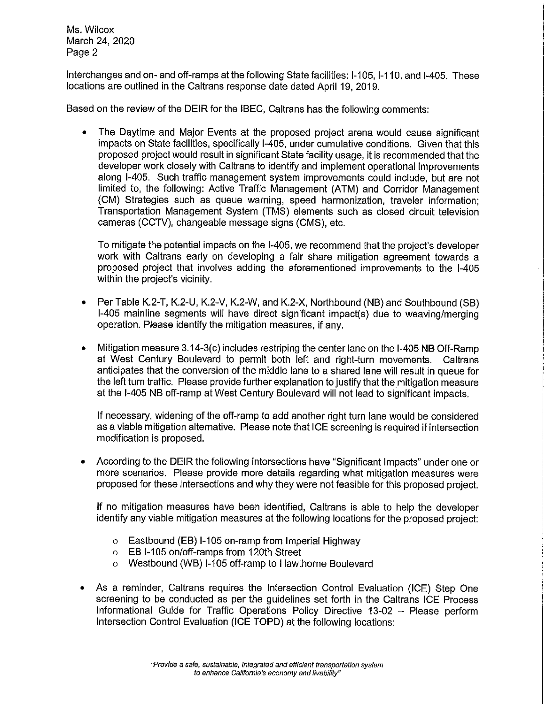Ms. Wilcox March 24, 2020 Page 2

interchanges and on- and off-ramps at the following State facilities: 1-105, 1-110, and 1-405. These locations are outlined in the Caltrans response date dated April 19, 2019.

Based on the review of the DEIR for the IBEC, Caltrans has the following comments:

• The Daytime and Major Events at the proposed project arena would cause significant impacts on State facilities, specifically 1-405, under cumulative conditions. Given that this proposed project would result in significant State facility usage, it is recommended that the developer work closely with Caltrans to identify and implement operational improvements along 1-405. Such traffic management system improvements could include, but are not limited to, the following: Active Traffic Management (ATM) and Corridor Management **(CM)** Strategies such as queue warning, speed harmonization, traveler information; Transportation Management System (TMS) elements such as closed circuit television cameras (CCTV), changeable message signs (CMS), etc.

To mitigate the potential impacts on the 1-405, we recommend that the project's developer work with Caltrans early on developing a fair share mitigation agreement towards a proposed project that involves adding the aforementioned improvements to the 1-405 within the project's vicinity.

- Per Table K.2-T, K.2-U, K.2-V, K.2-W, and K.2-X, Northbound (NB) and Southbound (SB) 1-405 mainline segments will have direct significant impact(s) due to weaving/merging operation. Please identify the mitigation measures, if any.
- Mitigation measure 3.14-3(c) includes restriping the center lane on the 1-405 **NB** Off-Ramp at West Century Boulevard to permit both left and right-turn movements. Caltrans anticipates that the conversion of the middle lane to a shared lane will result in queue for the left turn traffic. Please provide further explanation to justify that the mitigation measure at the 1-405 NB off-ramp at West Century Boulevard will not lead to significant impacts.

If necessary, widening of the off-ramp to add another right turn lane would be considered as a viable mitigation alternative. Please note that ICE screening is required if intersection modification is proposed.

• According to the DEIR the following intersections have "Significant Impacts" under one or more scenarios. Please provide more details regarding what mitigation measures were proposed for these intersections and why they were not feasible for this proposed project.

If no mitigation measures have been identified, Caltrans is able to help the developer identify any viable mitigation measures at the following locations for the proposed project:

- o Eastbound (EB) 1-105 on-ramp from Imperial Highway
- o EB 1-105 on/off-ramps from 120th Street
- o Westbound (WB) 1-105 off-ramp to Hawthorne Boulevard
- As a reminder, Caltrans requires the Intersection Control Evaluation (ICE) Step One screening to be conducted as per the guidelines set forth in the Caltrans ICE Process Informational Guide for Traffic Operations Policy Directive 13-02 - Please perform Intersection Control Evaluation (ICE TOPD) at the following locations: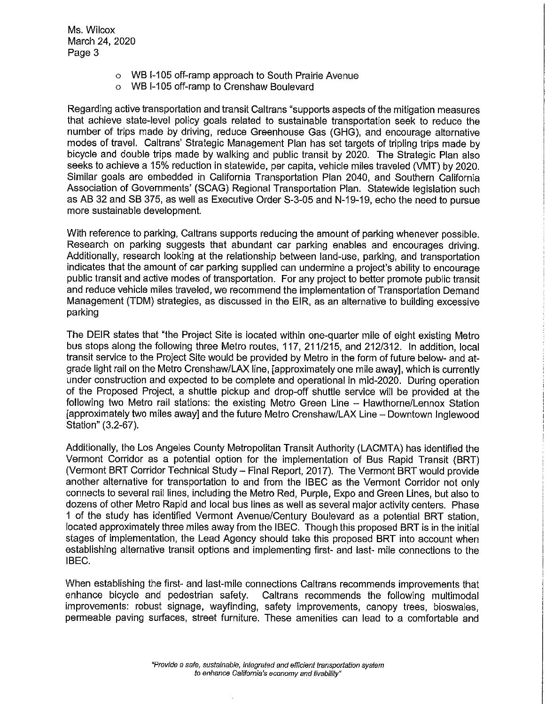Ms. Wilcox March 24, 2020 Page 3

- o WB 1-105 off-ramp approach to South Prairie Avenue
- o WB 1-105 off-ramp to Crenshaw Boulevard

Regarding active transportation and transit Caltrans "supports aspects of the mitigation measures that achieve state-level policy goals related to sustainable transportation seek to reduce the number of trips made by driving, reduce Greenhouse Gas (GHG), and encourage alternative modes of travel. Caltrans' Strategic Management Plan has set targets of tripling trips made by bicycle and double trips made by walking and public transit by 2020. The Strategic Plan also seeks to achieve a 15% reduction in statewide, per capita, vehicle miles traveled (VMT) by 2020. Similar goals are embedded in California Transportation Plan 2040, and Southern California Association of Governments' (SCAG) Regional Transportation Plan. Statewide legislation such as AB 32 and SB 375, as well as Executive Order S-3-05 and N-19-19, echo the need to pursue more sustainable development.

With reference to parking, Caltrans supports reducing the amount of parking whenever possible. Research on parking suggests that abundant car parking enables and encourages driving. Additionally, research looking at the relationship between land-use, parking, and transportation indicates that the amount of car parking supplied can undermine a project's ability to encourage public transit and active modes of transportation. For any project to better promote public transit and reduce vehicle miles traveled, we recommend the implementation of Transportation Demand Management (TDM) strategies, as discussed in the EIR, as an alternative to building excessive parking

The DEIR states that "the Project Site is located within one-quarter mile of eight existing Metro bus stops along the following three Metro routes, 117, 211/215, and 212/312. In addition, local transit service to the Project Site would be provided by Metro in the form of future below- and atgrade light rail on the Metro Crenshaw/LAX line, [approximately one mile away], which is currently under construction and expected to be complete and operational in mid-2020. During operation of the Proposed Project, a shuttle pickup and drop-off shuttle service will be provided at the following two Metro rail stations: the existing Metro Green Line - Hawthorne/Lennox Station [approximately two miles away] and the future Metro Crenshaw/LAX Line - Downtown Inglewood Station" (3.2-67).

Additionally, the Los Angeles County Metropolitan Transit Authority (LACMTA) has identified the Vermont Corridor as a potential option for the implementation of Bus Rapid Transit (BRT) (Vermont BRT Corridor Technical Study- Final Report, 2017). The Vermont BRT would provide another alternative for transportation to and from the IBEC as the Vermont Corridor not only connects to several rail lines, including the Metro Red, Purple, Expo and Green Lines, but also to dozens of other Metro Rapid and local bus lines as well as several major activity centers. Phase 1 of the study has identified Vermont Avenue/Century Boulevard as a potential BRT station, located approximately three miles away from the IBEC. Though this proposed BRT is in the initial stages of implementation, the Lead Agency should take this proposed BRT into account when establishing alternative transit options and implementing first- and last- mile connections to the IBEC.

When establishing the first- and last-mile connections Caltrans recommends improvements that enhance bicycle and pedestrian safety. Caltrans recommends the following multimodal improvements: robust signage, wayfinding, safety improvements, canopy trees, bioswales, permeable paving surfaces, street furniture. These amenities can lead to a comfortable and